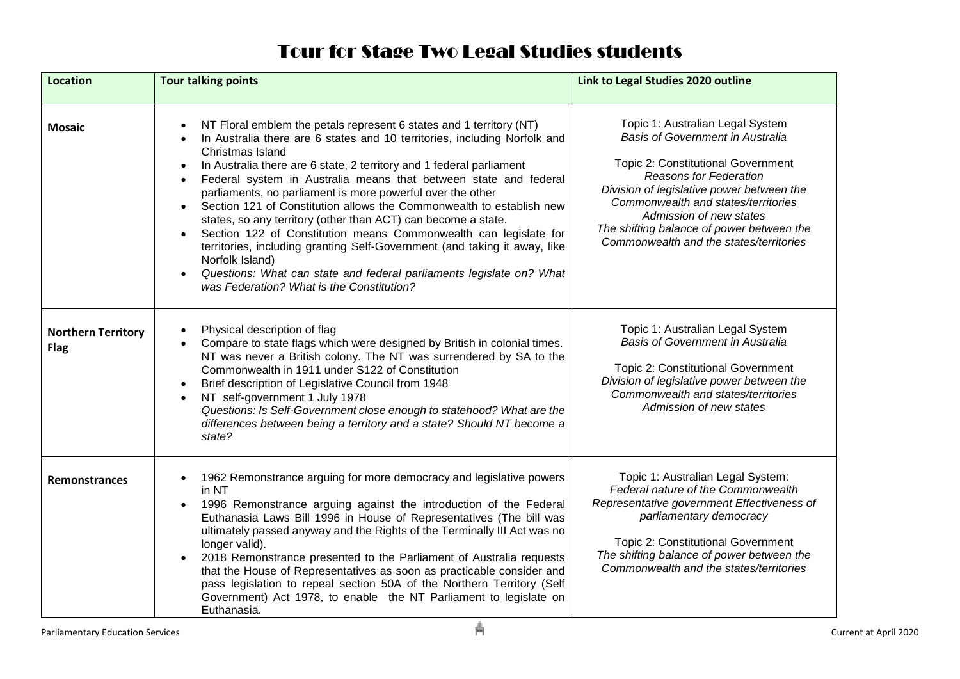## Tour for Stage Two Legal Studies students

| <b>Location</b>                          | <b>Tour talking points</b>                                                                                                                                                                                                                                                                                                                                                                                                                                                                                                                                                                                                                                                                                                                                                                                                                                           | Link to Legal Studies 2020 outline                                                                                                                                                                                                                                                                                                                 |
|------------------------------------------|----------------------------------------------------------------------------------------------------------------------------------------------------------------------------------------------------------------------------------------------------------------------------------------------------------------------------------------------------------------------------------------------------------------------------------------------------------------------------------------------------------------------------------------------------------------------------------------------------------------------------------------------------------------------------------------------------------------------------------------------------------------------------------------------------------------------------------------------------------------------|----------------------------------------------------------------------------------------------------------------------------------------------------------------------------------------------------------------------------------------------------------------------------------------------------------------------------------------------------|
| <b>Mosaic</b>                            | NT Floral emblem the petals represent 6 states and 1 territory (NT)<br>In Australia there are 6 states and 10 territories, including Norfolk and<br>Christmas Island<br>In Australia there are 6 state, 2 territory and 1 federal parliament<br>$\bullet$<br>Federal system in Australia means that between state and federal<br>$\bullet$<br>parliaments, no parliament is more powerful over the other<br>Section 121 of Constitution allows the Commonwealth to establish new<br>states, so any territory (other than ACT) can become a state.<br>Section 122 of Constitution means Commonwealth can legislate for<br>$\bullet$<br>territories, including granting Self-Government (and taking it away, like<br>Norfolk Island)<br>Questions: What can state and federal parliaments legislate on? What<br>$\bullet$<br>was Federation? What is the Constitution? | Topic 1: Australian Legal System<br>Basis of Government in Australia<br>Topic 2: Constitutional Government<br><b>Reasons for Federation</b><br>Division of legislative power between the<br>Commonwealth and states/territories<br>Admission of new states<br>The shifting balance of power between the<br>Commonwealth and the states/territories |
| <b>Northern Territory</b><br><b>Flag</b> | Physical description of flag<br>Compare to state flags which were designed by British in colonial times.<br>NT was never a British colony. The NT was surrendered by SA to the<br>Commonwealth in 1911 under S122 of Constitution<br>Brief description of Legislative Council from 1948<br>NT self-government 1 July 1978<br>Questions: Is Self-Government close enough to statehood? What are the<br>differences between being a territory and a state? Should NT become a<br>state?                                                                                                                                                                                                                                                                                                                                                                                | Topic 1: Australian Legal System<br><b>Basis of Government in Australia</b><br>Topic 2: Constitutional Government<br>Division of legislative power between the<br>Commonwealth and states/territories<br>Admission of new states                                                                                                                   |
| <b>Remonstrances</b>                     | 1962 Remonstrance arguing for more democracy and legislative powers<br>$\bullet$<br>in NT<br>1996 Remonstrance arguing against the introduction of the Federal<br>$\bullet$<br>Euthanasia Laws Bill 1996 in House of Representatives (The bill was<br>ultimately passed anyway and the Rights of the Terminally III Act was no<br>longer valid).<br>2018 Remonstrance presented to the Parliament of Australia requests<br>$\bullet$<br>that the House of Representatives as soon as practicable consider and<br>pass legislation to repeal section 50A of the Northern Territory (Self<br>Government) Act 1978, to enable the NT Parliament to legislate on<br>Euthanasia.                                                                                                                                                                                          | Topic 1: Australian Legal System:<br>Federal nature of the Commonwealth<br>Representative government Effectiveness of<br>parliamentary democracy<br><b>Topic 2: Constitutional Government</b><br>The shifting balance of power between the<br>Commonwealth and the states/territories                                                              |
| <b>Parliamentary Education Services</b>  | Å                                                                                                                                                                                                                                                                                                                                                                                                                                                                                                                                                                                                                                                                                                                                                                                                                                                                    | Current at April 2020                                                                                                                                                                                                                                                                                                                              |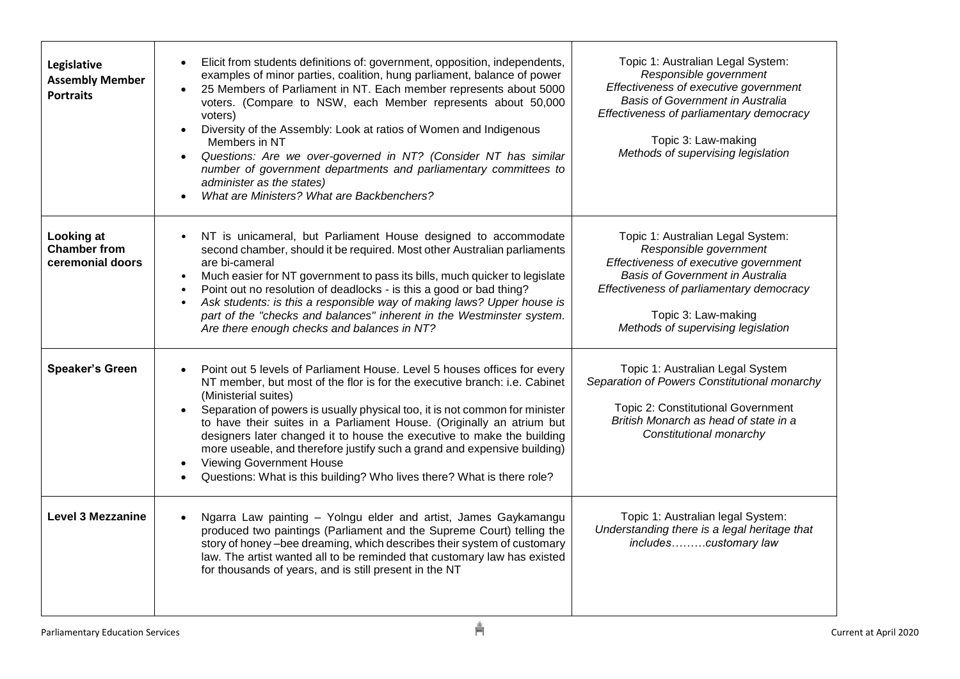| Legislative<br><b>Assembly Member</b><br><b>Portraits</b>    | Elicit from students definitions of: government, opposition, independents,<br>$\bullet$<br>examples of minor parties, coalition, hung parliament, balance of power<br>25 Members of Parliament in NT. Each member represents about 5000<br>voters. (Compare to NSW, each Member represents about 50,000<br>voters)<br>Diversity of the Assembly: Look at ratios of Women and Indigenous<br>$\bullet$<br>Members in NT<br>Questions: Are we over-governed in NT? (Consider NT has similar<br>$\bullet$<br>number of government departments and parliamentary committees to<br>administer as the states)<br>What are Ministers? What are Backbenchers? | Topic 1: Australian Legal System:<br>Responsible government<br>Effectiveness of executive government<br>Basis of Government in Australia<br>Effectiveness of parliamentary democracy<br>Topic 3: Law-making<br>Methods of supervising legislation |
|--------------------------------------------------------------|------------------------------------------------------------------------------------------------------------------------------------------------------------------------------------------------------------------------------------------------------------------------------------------------------------------------------------------------------------------------------------------------------------------------------------------------------------------------------------------------------------------------------------------------------------------------------------------------------------------------------------------------------|---------------------------------------------------------------------------------------------------------------------------------------------------------------------------------------------------------------------------------------------------|
| <b>Looking at</b><br><b>Chamber from</b><br>ceremonial doors | NT is unicameral, but Parliament House designed to accommodate<br>$\bullet$<br>second chamber, should it be required. Most other Australian parliaments<br>are bi-cameral<br>Much easier for NT government to pass its bills, much quicker to legislate<br>$\bullet$<br>Point out no resolution of deadlocks - is this a good or bad thing?<br>$\bullet$<br>Ask students: is this a responsible way of making laws? Upper house is<br>$\bullet$<br>part of the "checks and balances" inherent in the Westminster system.<br>Are there enough checks and balances in NT?                                                                              | Topic 1: Australian Legal System:<br>Responsible government<br>Effectiveness of executive government<br>Basis of Government in Australia<br>Effectiveness of parliamentary democracy<br>Topic 3: Law-making<br>Methods of supervising legislation |
| <b>Speaker's Green</b>                                       | Point out 5 levels of Parliament House. Level 5 houses offices for every<br>$\bullet$<br>NT member, but most of the flor is for the executive branch: i.e. Cabinet<br>(Ministerial suites)<br>Separation of powers is usually physical too, it is not common for minister<br>to have their suites in a Parliament House. (Originally an atrium but<br>designers later changed it to house the executive to make the building<br>more useable, and therefore justify such a grand and expensive building)<br><b>Viewing Government House</b><br>$\bullet$<br>Questions: What is this building? Who lives there? What is there role?                   | Topic 1: Australian Legal System<br>Separation of Powers Constitutional monarchy<br><b>Topic 2: Constitutional Government</b><br>British Monarch as head of state in a<br>Constitutional monarchy                                                 |
| <b>Level 3 Mezzanine</b>                                     | Ngarra Law painting - Yolngu elder and artist, James Gaykamangu<br>produced two paintings (Parliament and the Supreme Court) telling the<br>story of honey -bee dreaming, which describes their system of customary<br>law. The artist wanted all to be reminded that customary law has existed<br>for thousands of years, and is still present in the NT                                                                                                                                                                                                                                                                                            | Topic 1: Australian legal System:<br>Understanding there is a legal heritage that<br>includescustomary law                                                                                                                                        |